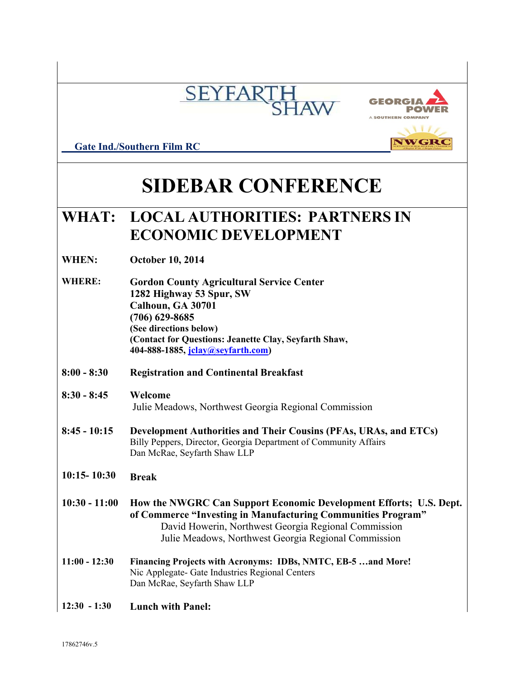



NWGRO

 **Gate Ind./Southern Film RC** 

# **SIDEBAR CONFERENCE**

# **WHAT: LOCAL AUTHORITIES: PARTNERS IN ECONOMIC DEVELOPMENT**

- **WHEN: October 10, 2014**
- **WHERE: Gordon County Agricultural Service Center 1282 Highway 53 Spur, SW Calhoun, GA 30701 (706) 629-8685 (See directions below) (Contact for Questions: Jeanette Clay, Seyfarth Shaw, 404-888-1885, [jclay@seyfarth.com\)](mailto:jclay@seyfarth.com)**
- **8:00 - 8:30 Registration and Continental Breakfast**

#### **8:30 - 8:45 Welcome** Julie Meadows, Northwest Georgia Regional Commission

- **8:45 - 10:15 Development Authorities and Their Cousins (PFAs, URAs, and ETCs)** Billy Peppers, Director, Georgia Department of Community Affairs Dan McRae, Seyfarth Shaw LLP
- **10:15- 10:30 Break**
- **10:30 - 11:00 How the NWGRC Can Support Economic Development Efforts; U.S. Dept. of Commerce "Investing in Manufacturing Communities Program"** David Howerin, Northwest Georgia Regional Commission Julie Meadows, Northwest Georgia Regional Commission
- **11:00 - 12:30 Financing Projects with Acronyms: IDBs, NMTC, EB-5 …and More!** Nic Applegate- Gate Industries Regional Centers Dan McRae, Seyfarth Shaw LLP
- **12:30 - 1:30 Lunch with Panel:**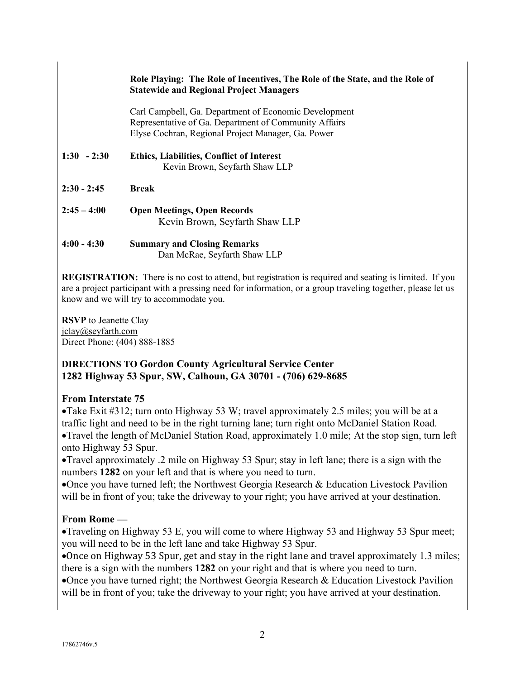#### **Role Playing: The Role of Incentives, The Role of the State, and the Role of Statewide and Regional Project Managers**

Carl Campbell, Ga. Department of Economic Development Representative of Ga. Department of Community Affairs Elyse Cochran, Regional Project Manager, Ga. Power

#### **1:30 - 2:30 Ethics, Liabilities, Conflict of Interest** Kevin Brown, Seyfarth Shaw LLP

**2:30 - 2:45 Break**

**2:45 – 4:00 Open Meetings, Open Records** Kevin Brown, Seyfarth Shaw LLP

#### **4:00 - 4:30 Summary and Closing Remarks** Dan McRae, Seyfarth Shaw LLP

**REGISTRATION:** There is no cost to attend, but registration is required and seating is limited. If you are a project participant with a pressing need for information, or a group traveling together, please let us know and we will try to accommodate you.

**RSVP** to Jeanette Clay jclay@seyfarth.com Direct Phone: (404) 888-1885

#### **DIRECTIONS TO Gordon County Agricultural Service Center 1282 Highway 53 Spur, SW, Calhoun, GA 30701 - (706) 629-8685**

## **From Interstate 75**

Take Exit #312; turn onto Highway 53 W; travel approximately 2.5 miles; you will be at a traffic light and need to be in the right turning lane; turn right onto McDaniel Station Road. Travel the length of McDaniel Station Road, approximately 1.0 mile; At the stop sign, turn left onto Highway 53 Spur.

Travel approximately .2 mile on Highway 53 Spur; stay in left lane; there is a sign with the numbers **1282** on your left and that is where you need to turn.

Once you have turned left; the Northwest Georgia Research & Education Livestock Pavilion will be in front of you; take the driveway to your right; you have arrived at your destination.

## **From Rome —**

Traveling on Highway 53 E, you will come to where Highway 53 and Highway 53 Spur meet; you will need to be in the left lane and take Highway 53 Spur.

Once on Highway 53 Spur, get and stay in the right lane and travel approximately 1.3 miles; there is a sign with the numbers **1282** on your right and that is where you need to turn.

Once you have turned right; the Northwest Georgia Research & Education Livestock Pavilion will be in front of you; take the driveway to your right; you have arrived at your destination.